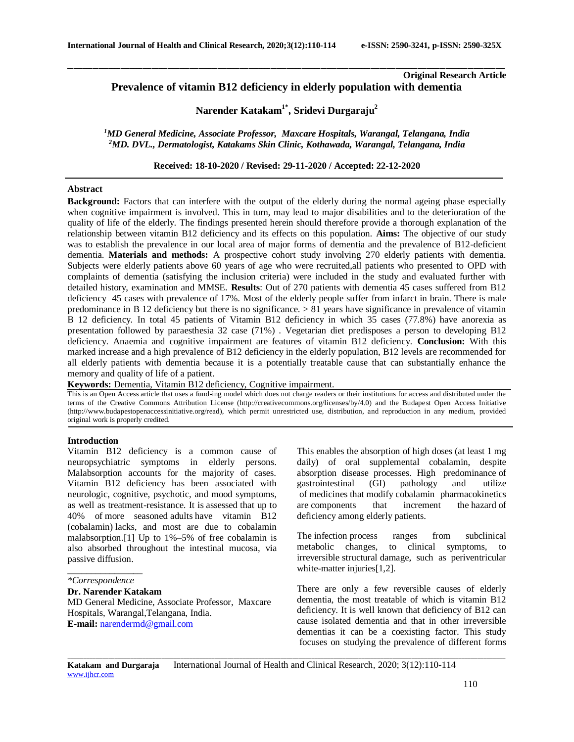# **Original Research Article Prevalence of vitamin B12 deficiency in elderly population with dementia**

**Narender Katakam1\* , Sridevi Durgaraju<sup>2</sup>**

\_\_\_\_\_\_\_\_\_\_\_\_\_\_\_\_\_\_\_\_\_\_\_\_\_\_\_\_\_\_\_\_\_\_\_\_\_\_\_\_\_\_\_\_\_\_\_\_\_\_\_\_\_\_\_\_\_\_\_\_\_\_\_\_\_\_\_\_\_\_\_\_\_\_\_\_\_\_\_\_\_\_\_\_\_\_\_\_\_\_\_\_\_\_\_\_\_\_\_\_\_\_\_\_\_\_\_\_\_\_\_\_\_\_\_\_\_\_\_\_\_\_\_\_\_\_\_\_\_\_\_\_\_\_\_\_\_\_\_\_

*<sup>1</sup>MD General Medicine, Associate Professor, Maxcare Hospitals, Warangal, Telangana, India <sup>2</sup>MD. DVL., Dermatologist, Katakams Skin Clinic, Kothawada, Warangal, Telangana, India*

**Received: 18-10-2020 / Revised: 29-11-2020 / Accepted: 22-12-2020**

### **Abstract**

**Background:** Factors that can interfere with the output of the elderly during the normal ageing phase especially when cognitive impairment is involved. This in turn, may lead to major disabilities and to the deterioration of the quality of life of the elderly. The findings presented herein should therefore provide a thorough explanation of the relationship between vitamin B12 deficiency and its effects on this population. **Aims:** The objective of our study was to establish the prevalence in our local area of major forms of dementia and the prevalence of B12-deficient dementia. **Materials and methods:** A prospective cohort study involving 270 elderly patients with dementia. Subjects were elderly patients above 60 years of age who were recruited,all patients who presented to OPD with complaints of dementia (satisfying the inclusion criteria) were included in the study and evaluated further with detailed history, examination and MMSE. **Results**: Out of 270 patients with dementia 45 cases suffered from B12 deficiency 45 cases with prevalence of 17%. Most of the elderly people suffer from infarct in brain. There is male predominance in B 12 deficiency but there is no significance. > 81 years have significance in prevalence of vitamin B 12 deficiency. In total 45 patients of Vitamin B12 deficiency in which 35 cases (77.8%) have anorexia as presentation followed by paraesthesia 32 case (71%) . Vegetarian diet predisposes a person to developing B12 deficiency. Anaemia and cognitive impairment are features of vitamin B12 deficiency. **Conclusion:** With this marked increase and a high prevalence of B12 deficiency in the elderly population, B12 levels are recommended for all elderly patients with dementia because it is a potentially treatable cause that can substantially enhance the memory and quality of life of a patient.

**Keywords:** Dementia, Vitamin B12 deficiency, Cognitive impairment.

This is an Open Access article that uses a fund-ing model which does not charge readers or their institutions for access and distributed under the terms of the Creative Commons Attribution License (http://creativecommons.org/licenses/by/4.0) and the Budapest Open Access Initiative (http://www.budapestopenaccessinitiative.org/read), which permit unrestricted use, distribution, and reproduction in any medium, provided original work is properly credited.

#### **Introduction**

Vitamin B12 deficiency is a common cause of neuropsychiatric symptoms in elderly persons. Malabsorption accounts for the majority of cases. Vitamin B12 deficiency has been associated with neurologic, cognitive, psychotic, and mood symptoms, as well as treatment-resistance. It is assessed that up to 40% of more seasoned adults have vitamin B12 (cobalamin) lacks, and most are due to cobalamin malabsorption.[1] Up to 1%–5% of free cobalamin is also absorbed throughout the intestinal mucosa, via passive diffusion.

**Dr. Narender Katakam**

MD General Medicine, Associate Professor, Maxcare Hospitals, Warangal,Telangana, India. **E-mail:** [narendermd@gmail.com](mailto:narendermd@gmail.com)

This enables the absorption of high doses (at least 1 mg daily) of oral supplemental cobalamin, despite absorption disease processes. High predominance of gastrointestinal (GI) pathology and utilize of medicines that modify cobalamin pharmacokinetics are components that increment the hazard of deficiency among elderly patients.

The infection process ranges from subclinical metabolic changes, to clinical symptoms, to irreversible structural damage, such as periventricular white-matter injuries[1,2].

There are only a few reversible causes of elderly dementia, the most treatable of which is vitamin B12 deficiency. It is well known that deficiency of B12 can cause isolated dementia and that in other irreversible dementias it can be a coexisting factor. This study focuses on studying the prevalence of different forms

*\_\_\_\_\_\_\_\_\_\_\_\_\_\_\_\_\_\_\_\_\_\_\_\_\_\_\_\_\_\_\_\_\_\_\_\_\_\_\_\_\_\_\_\_\_\_\_\_\_\_\_\_\_\_\_\_\_\_\_\_\_\_\_\_\_\_\_\_\_\_\_\_\_\_\_\_\_\_\_\_\_\_\_\_\_\_\_\_\_\_\_\_\_\_\_\_\_\_\_\_\_\_\_\_\_\_\_\_\_\_\_\_\_\_\_\_\_\_\_\_\_\_\_\_\_\_\_\_\_\_\_\_\_\_\_\_\_\_\_\_*

\_\_\_\_\_\_\_\_\_\_\_\_\_\_\_\_ *\*Correspondence*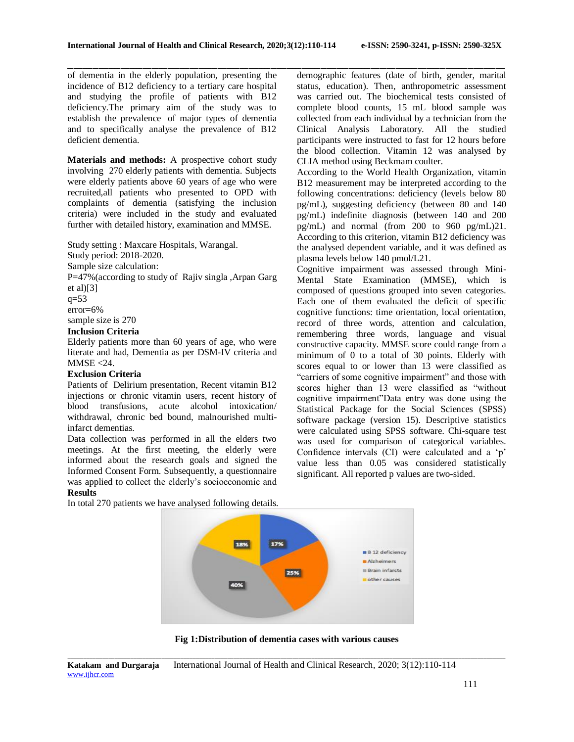of dementia in the elderly population, presenting the incidence of B12 deficiency to a tertiary care hospital and studying the profile of patients with B12 deficiency.The primary aim of the study was to establish the prevalence of major types of dementia and to specifically analyse the prevalence of B12 deficient dementia.

**Materials and methods:** A prospective cohort study involving 270 elderly patients with dementia. Subjects were elderly patients above 60 years of age who were recruited,all patients who presented to OPD with complaints of dementia (satisfying the inclusion criteria) were included in the study and evaluated further with detailed history, examination and MMSE.

Study setting : Maxcare Hospitals, Warangal.

Study period: 2018-2020.

Sample size calculation:

P=47%(according to study of Rajiv singla ,Arpan Garg et al $[3]$ 

q=53 error=6%

sample size is 270

### **Inclusion Criteria**

Elderly patients more than 60 years of age, who were literate and had, Dementia as per DSM-IV criteria and  $MMSE < 24$ .

### **Exclusion Criteria**

Patients of Delirium presentation, Recent vitamin B12 injections or chronic vitamin users, recent history of blood transfusions, acute alcohol intoxication/ withdrawal, chronic bed bound, malnourished multiinfarct dementias.

Data collection was performed in all the elders two meetings. At the first meeting, the elderly were informed about the research goals and signed the Informed Consent Form. Subsequently, a questionnaire was applied to collect the elderly's socioeconomic and **Results**

\_\_\_\_\_\_\_\_\_\_\_\_\_\_\_\_\_\_\_\_\_\_\_\_\_\_\_\_\_\_\_\_\_\_\_\_\_\_\_\_\_\_\_\_\_\_\_\_\_\_\_\_\_\_\_\_\_\_\_\_\_\_\_\_\_\_\_\_\_\_\_\_\_\_\_\_\_\_\_\_\_\_\_\_\_\_\_\_\_\_\_\_\_\_\_\_\_\_\_\_\_\_\_\_\_\_\_\_\_\_\_\_\_\_\_\_\_\_\_\_\_\_\_\_\_\_\_\_\_\_\_\_\_\_\_\_\_\_\_\_ demographic features (date of birth, gender, marital status, education). Then, anthropometric assessment was carried out. The biochemical tests consisted of complete blood counts, 15 mL blood sample was collected from each individual by a technician from the Clinical Analysis Laboratory. All the studied participants were instructed to fast for 12 hours before the blood collection. Vitamin 12 was analysed by CLIA method using Beckmam coulter.

> According to the World Health Organization, vitamin B12 measurement may be interpreted according to the following concentrations: deficiency (levels below 80 pg/mL), suggesting deficiency (between 80 and 140 pg/mL) indefinite diagnosis (between 140 and 200 pg/mL) and normal (from 200 to 960 pg/mL)21. According to this criterion, vitamin B12 deficiency was the analysed dependent variable, and it was defined as plasma levels below 140 pmol/L21.

> Cognitive impairment was assessed through Mini-Mental State Examination (MMSE), which is composed of questions grouped into seven categories. Each one of them evaluated the deficit of specific cognitive functions: time orientation, local orientation, record of three words, attention and calculation, remembering three words, language and visual constructive capacity. MMSE score could range from a minimum of  $\overline{0}$  to a total of 30 points. Elderly with scores equal to or lower than 13 were classified as "carriers of some cognitive impairment" and those with scores higher than 13 were classified as "without cognitive impairment"Data entry was done using the Statistical Package for the Social Sciences (SPSS) software package (version 15). Descriptive statistics were calculated using SPSS software. Chi-square test was used for comparison of categorical variables. Confidence intervals (CI) were calculated and a 'p' value less than 0.05 was considered statistically significant. All reported p values are two-sided.



*\_\_\_\_\_\_\_\_\_\_\_\_\_\_\_\_\_\_\_\_\_\_\_\_\_\_\_\_\_\_\_\_\_\_\_\_\_\_\_\_\_\_\_\_\_\_\_\_\_\_\_\_\_\_\_\_\_\_\_\_\_\_\_\_\_\_\_\_\_\_\_\_\_\_\_\_\_\_\_\_\_\_\_\_\_\_\_\_\_\_\_\_\_\_\_\_\_\_\_\_\_\_\_\_\_\_\_\_\_\_\_\_\_\_\_\_\_\_\_\_\_\_\_\_\_\_\_\_\_\_\_\_\_\_\_\_\_\_\_\_* **Fig 1:Distribution of dementia cases with various causes**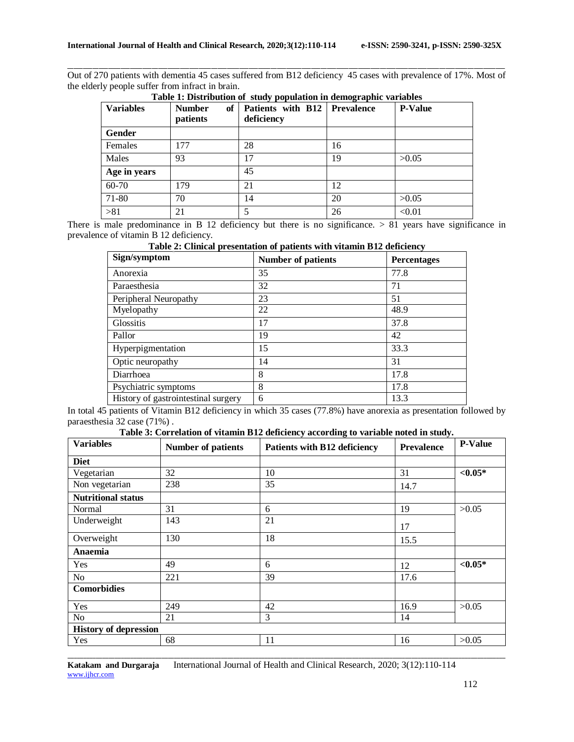\_\_\_\_\_\_\_\_\_\_\_\_\_\_\_\_\_\_\_\_\_\_\_\_\_\_\_\_\_\_\_\_\_\_\_\_\_\_\_\_\_\_\_\_\_\_\_\_\_\_\_\_\_\_\_\_\_\_\_\_\_\_\_\_\_\_\_\_\_\_\_\_\_\_\_\_\_\_\_\_\_\_\_\_\_\_\_\_\_\_\_\_\_\_\_\_\_\_\_\_\_\_\_\_\_\_\_\_\_\_\_\_\_\_\_\_\_\_\_\_\_\_\_\_\_\_\_\_\_\_\_\_\_\_\_\_\_\_\_\_ Out of 270 patients with dementia 45 cases suffered from B12 deficiency 45 cases with prevalence of 17%. Most of the elderly people suffer from infract in brain.

| <b>Variables</b> | of<br><b>Number</b><br>patients | Patients with B12<br>deficiency | <b>Prevalence</b> | <b>P-Value</b> |
|------------------|---------------------------------|---------------------------------|-------------------|----------------|
| Gender           |                                 |                                 |                   |                |
| Females          | 177                             | 28                              | 16                |                |
| Males            | 93                              | 17                              | 19                | >0.05          |
| Age in years     |                                 | 45                              |                   |                |
| 60-70            | 179                             | 21                              | 12                |                |
| 71-80            | 70                              | 14                              | 20                | >0.05          |
| > 81             | 21                              |                                 | 26                | < 0.01         |

**Table 1: Distribution of study population in demographic variables**

There is male predominance in B 12 deficiency but there is no significance. > 81 years have significance in prevalence of vitamin B 12 deficiency.

| Table 2: Clinical presentation of patients with vitamin B12 deficiency |  |
|------------------------------------------------------------------------|--|
|------------------------------------------------------------------------|--|

| Sign/symptom                        | <b>Number of patients</b> | <b>Percentages</b> |
|-------------------------------------|---------------------------|--------------------|
| Anorexia                            | 35                        | 77.8               |
| Paraesthesia                        | 32                        | 71                 |
| Peripheral Neuropathy               | 23                        | 51                 |
| Myelopathy                          | 22                        | 48.9               |
| <b>Glossitis</b>                    | 17                        | 37.8               |
| Pallor                              | 19                        | 42                 |
| Hyperpigmentation                   | 15                        | 33.3               |
| Optic neuropathy                    | 14                        | 31                 |
| Diarrhoea                           | 8                         | 17.8               |
| Psychiatric symptoms                | 8                         | 17.8               |
| History of gastrointestinal surgery | 6                         | 13.3               |

In total 45 patients of Vitamin B12 deficiency in which 35 cases (77.8%) have anorexia as presentation followed by paraesthesia 32 case (71%) .

**Table 3: Correlation of vitamin B12 deficiency according to variable noted in study.**

| <b>Variables</b>             | <b>Number of patients</b> | <b>Patients with B12 deficiency</b> | <b>Prevalence</b> | <b>P-Value</b> |
|------------------------------|---------------------------|-------------------------------------|-------------------|----------------|
| <b>Diet</b>                  |                           |                                     |                   |                |
| Vegetarian                   | 32                        | 10                                  | 31                | ${<}0.05*$     |
| Non vegetarian               | 238                       | 35                                  | 14.7              |                |
| <b>Nutritional status</b>    |                           |                                     |                   |                |
| Normal                       | 31                        | 6                                   | 19                | >0.05          |
| Underweight                  | 143                       | 21                                  | 17                |                |
| Overweight                   | 130                       | 18                                  | 15.5              |                |
| Anaemia                      |                           |                                     |                   |                |
| Yes                          | 49                        | 6                                   | 12                | $< 0.05*$      |
| N <sub>o</sub>               | 221                       | 39                                  | 17.6              |                |
| <b>Comorbidies</b>           |                           |                                     |                   |                |
| Yes                          | 249                       | 42                                  | 16.9              | >0.05          |
| No                           | 21                        | 3                                   | 14                |                |
| <b>History of depression</b> |                           |                                     |                   |                |
| Yes                          | 68                        | 11                                  | 16                | >0.05          |

*\_\_\_\_\_\_\_\_\_\_\_\_\_\_\_\_\_\_\_\_\_\_\_\_\_\_\_\_\_\_\_\_\_\_\_\_\_\_\_\_\_\_\_\_\_\_\_\_\_\_\_\_\_\_\_\_\_\_\_\_\_\_\_\_\_\_\_\_\_\_\_\_\_\_\_\_\_\_\_\_\_\_\_\_\_\_\_\_\_\_\_\_\_\_\_\_\_\_\_\_\_\_\_\_\_\_\_\_\_\_\_\_\_\_\_\_\_\_\_\_\_\_\_\_\_\_\_\_\_\_\_\_\_\_\_\_\_\_\_\_*

**Katakam and Durgaraja** International Journal of Health and Clinical Research*,* 2020; 3(12):110-114 [www.ijhcr.com](http://www.ijhcr.com/)<sub>mutus</sub> and the computation of the contract of the contract of the contract of the contract of the contract of the contract of the contract of the contract of the contract of the contract of the contract of th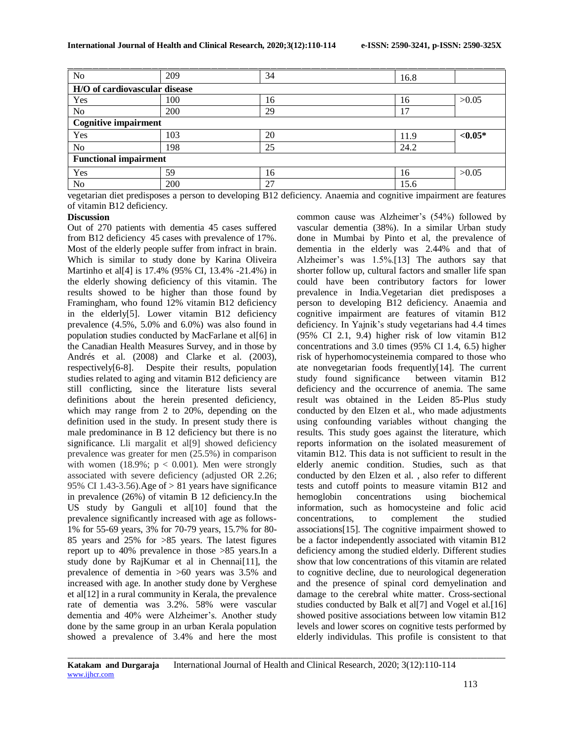| No                            | 209 | 34 | 16.8 |           |
|-------------------------------|-----|----|------|-----------|
| H/O of cardiovascular disease |     |    |      |           |
| Yes                           | 100 | 16 | 16   | >0.05     |
| No                            | 200 | 29 | 17   |           |
| <b>Cognitive impairment</b>   |     |    |      |           |
| Yes                           | 103 | 20 | 11.9 | $< 0.05*$ |
| N <sub>o</sub>                | 198 | 25 | 24.2 |           |
| <b>Functional impairment</b>  |     |    |      |           |
| Yes                           | 59  | 16 | 16   | >0.05     |
| N <sub>o</sub>                | 200 | 27 | 15.6 |           |

vegetarian diet predisposes a person to developing B12 deficiency. Anaemia and cognitive impairment are features of vitamin B12 deficiency.

#### **Discussion**

Out of 270 patients with dementia 45 cases suffered from B12 deficiency 45 cases with prevalence of 17%. Most of the elderly people suffer from infract in brain. Which is similar to study done by Karina Oliveira Martinho et al[4] is 17.4% (95% CI, 13.4% -21.4%) in the elderly showing deficiency of this vitamin. The results showed to be higher than those found by Framingham, who found 12% vitamin B12 deficiency in the elderly[5]. Lower vitamin B12 deficiency prevalence (4.5%, 5.0% and 6.0%) was also found in population studies conducted by MacFarlane et al[6] in the Canadian Health Measures Survey, and in those by Andrés et al. (2008) and Clarke et al. (2003), respectively[6-8]. Despite their results, population studies related to aging and vitamin B12 deficiency are still conflicting, since the literature lists several definitions about the herein presented deficiency, which may range from 2 to 20%, depending on the definition used in the study. In present study there is male predominance in B 12 deficiency but there is no significance. Lli margalit et al[9] showed deficiency prevalence was greater for men (25.5%) in comparison with women  $(18.9\%; p < 0.001)$ . Men were strongly associated with severe deficiency (adjusted OR 2.26; 95% CI 1.43-3.56).Age of > 81 years have significance in prevalence (26%) of vitamin B 12 deficiency.In the US study by Ganguli et al[10] found that the prevalence significantly increased with age as follows-1% for 55-69 years, 3% for 70-79 years, 15.7% for 80- 85 years and 25% for >85 years. The latest figures report up to 40% prevalence in those >85 years.In a study done by RajKumar et al in Chennai[11], the prevalence of dementia in >60 years was 3.5% and increased with age. In another study done by Verghese et al[12] in a rural community in Kerala, the prevalence rate of dementia was 3.2%. 58% were vascular dementia and 40% were Alzheimer's. Another study done by the same group in an urban Kerala population showed a prevalence of 3.4% and here the most

common cause was Alzheimer's (54%) followed by vascular dementia (38%). In a similar Urban study done in Mumbai by Pinto et al, the prevalence of dementia in the elderly was 2.44% and that of Alzheimer's was 1.5%.[13] The authors say that shorter follow up, cultural factors and smaller life span could have been contributory factors for lower prevalence in India.Vegetarian diet predisposes a person to developing B12 deficiency. Anaemia and cognitive impairment are features of vitamin B12 deficiency. In Yajnik's study vegetarians had 4.4 times (95% CI 2.1, 9.4) higher risk of low vitamin B12 concentrations and 3.0 times (95% CI 1.4, 6.5) higher risk of hyperhomocysteinemia compared to those who ate nonvegetarian foods frequently[14]. The current study found significance between vitamin B12 deficiency and the occurrence of anemia. The same result was obtained in the Leiden 85-Plus study conducted by den Elzen et al., who made adjustments using confounding variables without changing the results. This study goes against the literature, which reports information on the isolated measurement of vitamin B12. This data is not sufficient to result in the elderly anemic condition. Studies, such as that conducted by den Elzen et al. , also refer to different tests and cutoff points to measure vitamin B12 and hemoglobin concentrations using biochemical information, such as homocysteine and folic acid concentrations, to complement the studied associations[15]. The cognitive impairment showed to be a factor independently associated with vitamin B12 deficiency among the studied elderly. Different studies show that low concentrations of this vitamin are related to cognitive decline, due to neurological degeneration and the presence of spinal cord demyelination and damage to the cerebral white matter. Cross-sectional studies conducted by Balk et al[7] and Vogel et al.[16] showed positive associations between low vitamin B12 levels and lower scores on cognitive tests performed by elderly individulas. This profile is consistent to that

*\_\_\_\_\_\_\_\_\_\_\_\_\_\_\_\_\_\_\_\_\_\_\_\_\_\_\_\_\_\_\_\_\_\_\_\_\_\_\_\_\_\_\_\_\_\_\_\_\_\_\_\_\_\_\_\_\_\_\_\_\_\_\_\_\_\_\_\_\_\_\_\_\_\_\_\_\_\_\_\_\_\_\_\_\_\_\_\_\_\_\_\_\_\_\_\_\_\_\_\_\_\_\_\_\_\_\_\_\_\_\_\_\_\_\_\_\_\_\_\_\_\_\_\_\_\_\_\_\_\_\_\_\_\_\_\_\_\_\_\_*